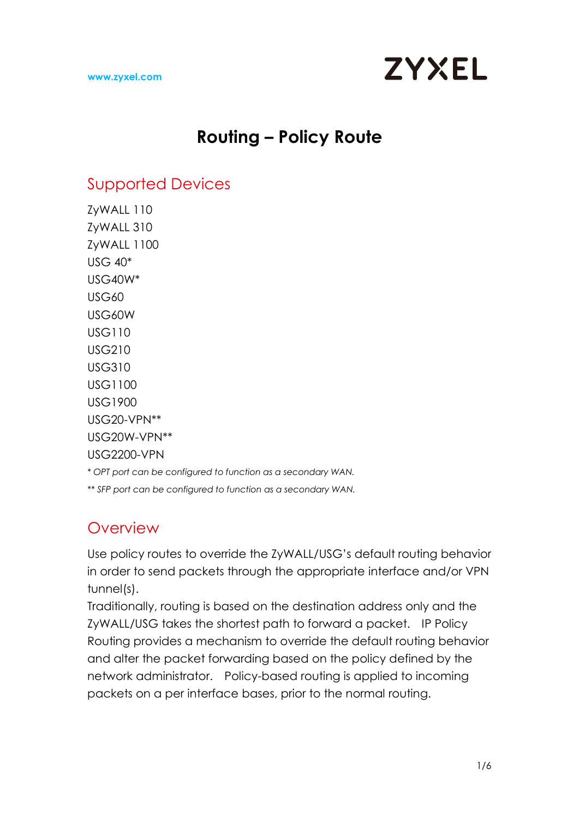## **ZYXEL**

## **Routing – Policy Route**

## Supported Devices

ZyWALL 110 ZyWALL 310 ZyWALL 1100 USG 40\* USG40W\* USG60 USG60W USG110 USG210 USG310 USG1100 USG1900 USG20-VPN\*\* USG20W-VPN\*\* USG2200-VPN *\* OPT port can be configured to function as a secondary WAN. \*\* SFP port can be configured to function as a secondary WAN.*

### **Overview**

Use policy routes to override the ZyWALL/USG's default routing behavior in order to send packets through the appropriate interface and/or VPN tunnel(s).

Traditionally, routing is based on the destination address only and the ZyWALL/USG takes the shortest path to forward a packet. IP Policy Routing provides a mechanism to override the default routing behavior and alter the packet forwarding based on the policy defined by the network administrator. Policy-based routing is applied to incoming packets on a per interface bases, prior to the normal routing.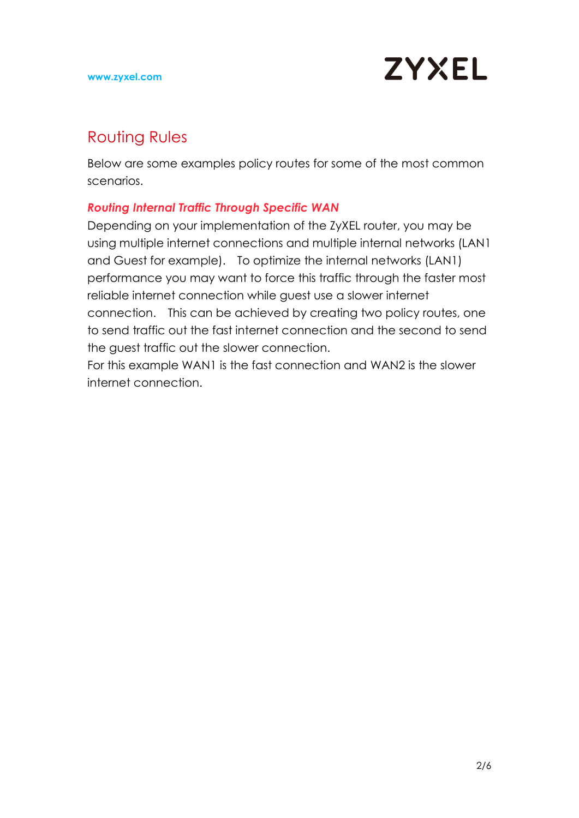

## Routing Rules

Below are some examples policy routes for some of the most common scenarios.

### *Routing Internal Traffic Through Specific WAN*

Depending on your implementation of the ZyXEL router, you may be using multiple internet connections and multiple internal networks (LAN1 and Guest for example). To optimize the internal networks (LAN1) performance you may want to force this traffic through the faster most reliable internet connection while guest use a slower internet connection. This can be achieved by creating two policy routes, one to send traffic out the fast internet connection and the second to send the guest traffic out the slower connection.

For this example WAN1 is the fast connection and WAN2 is the slower internet connection.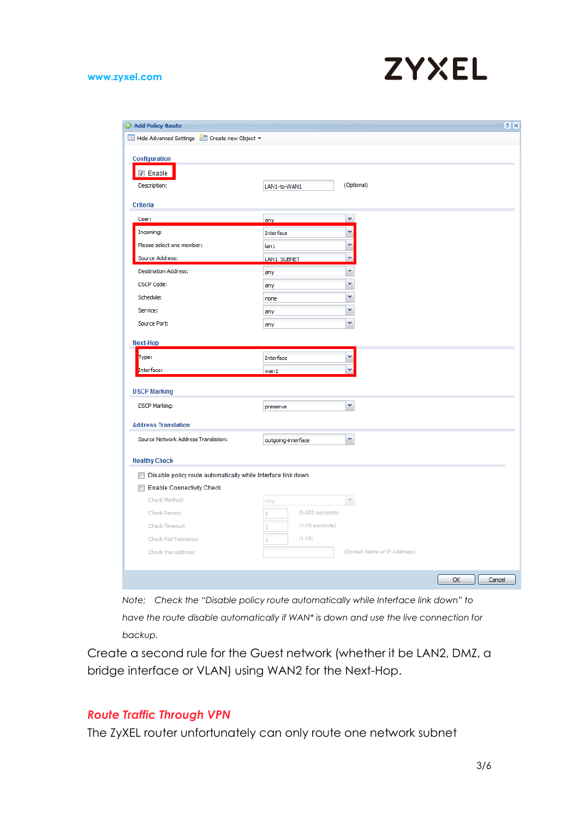#### **www.zyxel.com**

# **ZYXEL**

| Add Policy Route                                             |                                  |                             |  |
|--------------------------------------------------------------|----------------------------------|-----------------------------|--|
| Hide Advanced Settings is Create new Object v                |                                  |                             |  |
| Configuration                                                |                                  |                             |  |
| $\nabla$ Enable                                              |                                  |                             |  |
| Description:                                                 | LAN1-to-WAN1                     | (Optional)                  |  |
|                                                              |                                  |                             |  |
| Criteria                                                     |                                  |                             |  |
| User:                                                        | any                              | v                           |  |
| Incoming:                                                    | Interface                        | ×                           |  |
| Please select one member:                                    | lan1                             | v                           |  |
| Source Address:                                              | <b>LAN1 SUBNET</b>               | ×                           |  |
| <b>Destination Address:</b>                                  | any                              | v                           |  |
| <b>DSCP Code:</b>                                            | any                              | Ÿ                           |  |
| Schedule:                                                    | none                             | v                           |  |
| Service:                                                     | any                              | ×                           |  |
| Source Port:                                                 | any                              | v                           |  |
| <b>Next-Hop</b>                                              |                                  |                             |  |
| Type:                                                        | <b>Interface</b>                 | v                           |  |
|                                                              |                                  |                             |  |
| Interface:                                                   |                                  | v                           |  |
|                                                              | wan1                             |                             |  |
| <b>DSCP Marking</b>                                          |                                  |                             |  |
| <b>DSCP Marking:</b>                                         | preserve                         | v                           |  |
|                                                              |                                  |                             |  |
| <b>Address Translation</b>                                   |                                  |                             |  |
|                                                              | outgoing-interface               | v                           |  |
| Source Network Address Translation:<br><b>Healthy Check</b>  |                                  |                             |  |
| Disable policy route automatically while Interface link down |                                  |                             |  |
| Enable Connectivity Check                                    |                                  |                             |  |
| Check Method:                                                | icmp                             | ×                           |  |
| Check Period:                                                | $(5-600$ seconds)<br>5           |                             |  |
| Check Timeout:                                               | $(1-10$ seconds)<br>$\mathbf{1}$ |                             |  |
| Check Fail Tolerance:                                        | $(1-10)$<br>$\mathbf{1}$         |                             |  |
| Check this address:                                          |                                  | (Domain Name or IP Address) |  |

*Note: Check the "Disable policy route automatically while Interface link down" to have the route disable automatically if WAN\* is down and use the live connection for backup.*

Create a second rule for the Guest network (whether it be LAN2, DMZ, a bridge interface or VLAN) using WAN2 for the Next-Hop.

#### *Route Traffic Through VPN*

The ZyXEL router unfortunately can only route one network subnet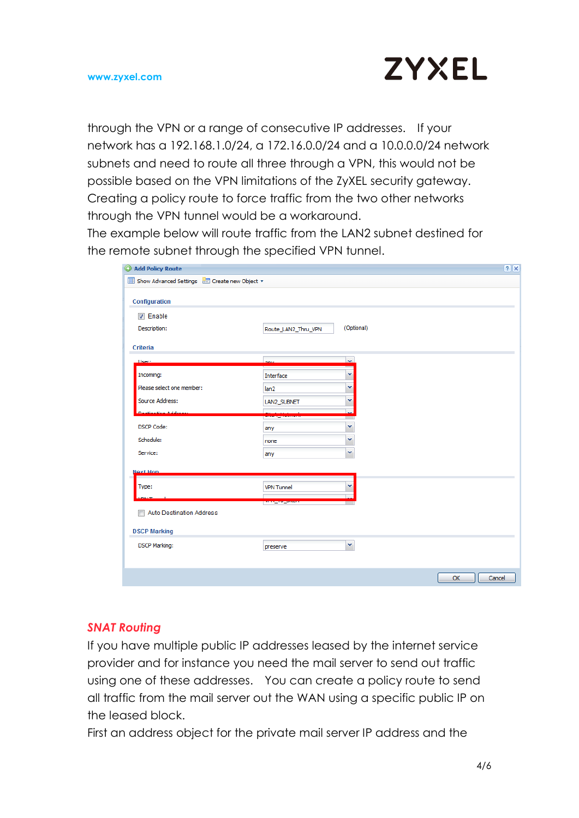

through the VPN or a range of consecutive IP addresses. If your network has a 192.168.1.0/24, a 172.16.0.0/24 and a 10.0.0.0/24 network subnets and need to route all three through a VPN, this would not be possible based on the VPN limitations of the ZyXEL security gateway. Creating a policy route to force traffic from the two other networks through the VPN tunnel would be a workaround.

The example below will route traffic from the LAN2 subnet destined for the remote subnet through the specified VPN tunnel.

| <b>Add Policy Route</b>                       |                                   | 2X           |
|-----------------------------------------------|-----------------------------------|--------------|
| Show Advanced Settings is Create new Object v |                                   |              |
| Configuration                                 |                                   |              |
|                                               |                                   |              |
| $\nabla$ Enable                               |                                   |              |
| Description:                                  | (Optional)<br>Route_LAN2_Thru_VPN |              |
| Criteria                                      |                                   |              |
| User:                                         | $\checkmark$<br>any               |              |
| Incoming:                                     | v<br>Interface                    |              |
| Please select one member:                     | v<br>lan <sub>2</sub>             |              |
| Source Address:                               | v<br>LAN2_SUBNET                  |              |
| Adde                                          |                                   |              |
| <b>DSCP Code:</b>                             | Ÿ<br>any                          |              |
| Schedule:                                     | Ÿ<br>none                         |              |
| Service:                                      | Ÿ<br>any                          |              |
| Next-Hon                                      |                                   |              |
| ٠<br>Type:                                    | v<br><b>VPN Tunnel</b>            |              |
|                                               |                                   |              |
| <b>Auto Destination Address</b>               |                                   |              |
|                                               |                                   |              |
| <b>DSCP Marking</b>                           |                                   |              |
| <b>DSCP Marking:</b>                          | ×<br>preserve                     |              |
|                                               |                                   |              |
|                                               |                                   | OK<br>Cancel |
|                                               |                                   |              |

### *SNAT Routing*

If you have multiple public IP addresses leased by the internet service provider and for instance you need the mail server to send out traffic using one of these addresses. You can create a policy route to send all traffic from the mail server out the WAN using a specific public IP on the leased block.

First an address object for the private mail server IP address and the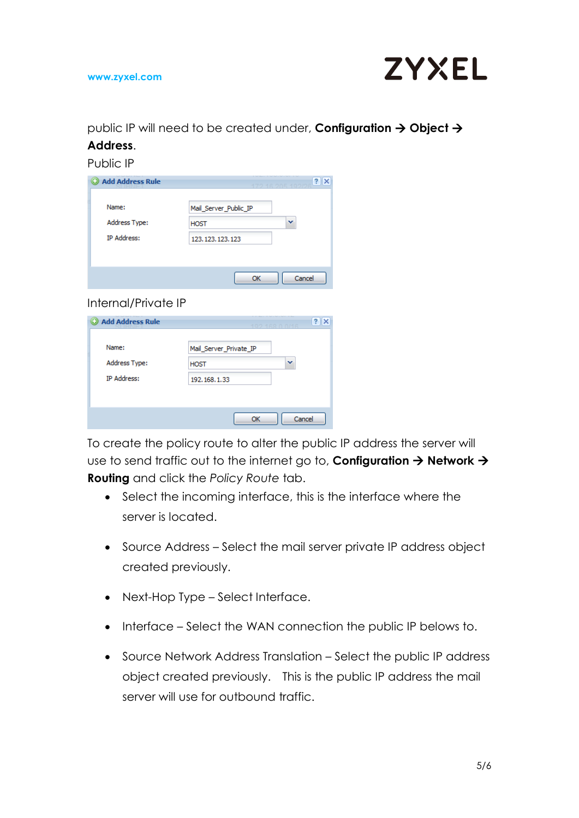

public IP will need to be created under, **Configuration**  $\rightarrow$  **Object**  $\rightarrow$ 

### **Address**.

Public IP

| <b>Add Address Rule</b> |                       | ? X<br>6.205.102/26 |
|-------------------------|-----------------------|---------------------|
| Name:                   | Mail_Server_Public_IP |                     |
| Address Type:           | <b>HOST</b>           | v                   |
| <b>IP Address:</b>      | 123, 123, 123, 123    |                     |
|                         |                       |                     |
|                         |                       | Cancel              |

Internal/Private IP

| <b>Add Address Rule</b> |                        | $\overline{\mathbf{?}}$<br>∣×<br>102 168 0 0/16 |
|-------------------------|------------------------|-------------------------------------------------|
| Name:                   | Mail_Server_Private_IP |                                                 |
| Address Type:           | <b>HOST</b>            | v                                               |
| <b>IP Address:</b>      | 192.168.1.33           |                                                 |
|                         |                        |                                                 |
|                         | ОК                     | Cancel                                          |

To create the policy route to alter the public IP address the server will use to send traffic out to the internet go to, **Configuration**  $\rightarrow$  **Network**  $\rightarrow$ **Routing** and click the *Policy Route* tab.

- Select the incoming interface, this is the interface where the server is located.
- Source Address Select the mail server private IP address object created previously.
- Next-Hop Type Select Interface.
- Interface Select the WAN connection the public IP belows to.
- Source Network Address Translation Select the public IP address object created previously. This is the public IP address the mail server will use for outbound traffic.